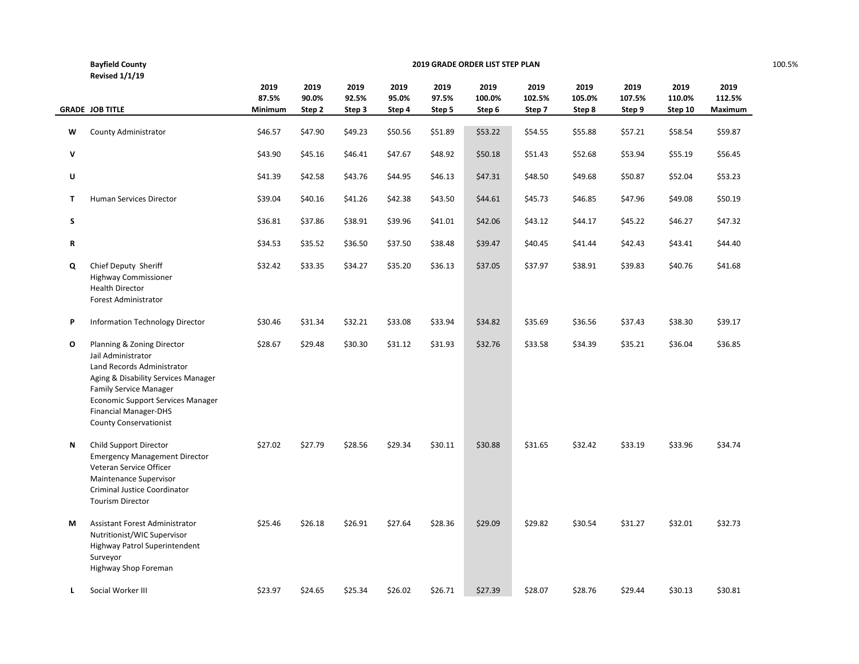|   | <b>Bayfield County</b>                                                                                                                                                                                                                                       | 2019 GRADE ORDER LIST STEP PLAN |         |         |         |         |         |         |         |         |         |         |  |
|---|--------------------------------------------------------------------------------------------------------------------------------------------------------------------------------------------------------------------------------------------------------------|---------------------------------|---------|---------|---------|---------|---------|---------|---------|---------|---------|---------|--|
|   | <b>Revised 1/1/19</b>                                                                                                                                                                                                                                        |                                 |         |         |         |         |         |         |         |         |         |         |  |
|   |                                                                                                                                                                                                                                                              | 2019                            | 2019    | 2019    | 2019    | 2019    | 2019    | 2019    | 2019    | 2019    | 2019    | 2019    |  |
|   |                                                                                                                                                                                                                                                              | 87.5%                           | 90.0%   | 92.5%   | 95.0%   | 97.5%   | 100.0%  | 102.5%  | 105.0%  | 107.5%  | 110.0%  | 112.5%  |  |
|   | <b>GRADE JOB TITLE</b>                                                                                                                                                                                                                                       | Minimum                         | Step 2  | Step 3  | Step 4  | Step 5  | Step 6  | Step 7  | Step 8  | Step 9  | Step 10 | Maximum |  |
| W | County Administrator                                                                                                                                                                                                                                         | \$46.57                         | \$47.90 | \$49.23 | \$50.56 | \$51.89 | \$53.22 | \$54.55 | \$55.88 | \$57.21 | \$58.54 | \$59.87 |  |
| V |                                                                                                                                                                                                                                                              | \$43.90                         | \$45.16 | \$46.41 | \$47.67 | \$48.92 | \$50.18 | \$51.43 | \$52.68 | \$53.94 | \$55.19 | \$56.45 |  |
| U |                                                                                                                                                                                                                                                              | \$41.39                         | \$42.58 | \$43.76 | \$44.95 | \$46.13 | \$47.31 | \$48.50 | \$49.68 | \$50.87 | \$52.04 | \$53.23 |  |
| Τ | Human Services Director                                                                                                                                                                                                                                      | \$39.04                         | \$40.16 | \$41.26 | \$42.38 | \$43.50 | \$44.61 | \$45.73 | \$46.85 | \$47.96 | \$49.08 | \$50.19 |  |
| S |                                                                                                                                                                                                                                                              | \$36.81                         | \$37.86 | \$38.91 | \$39.96 | \$41.01 | \$42.06 | \$43.12 | \$44.17 | \$45.22 | \$46.27 | \$47.32 |  |
| R |                                                                                                                                                                                                                                                              | \$34.53                         | \$35.52 | \$36.50 | \$37.50 | \$38.48 | \$39.47 | \$40.45 | \$41.44 | \$42.43 | \$43.41 | \$44.40 |  |
| Q | Chief Deputy Sheriff<br><b>Highway Commissioner</b><br><b>Health Director</b><br><b>Forest Administrator</b>                                                                                                                                                 | \$32.42                         | \$33.35 | \$34.27 | \$35.20 | \$36.13 | \$37.05 | \$37.97 | \$38.91 | \$39.83 | \$40.76 | \$41.68 |  |
| P | Information Technology Director                                                                                                                                                                                                                              | \$30.46                         | \$31.34 | \$32.21 | \$33.08 | \$33.94 | \$34.82 | \$35.69 | \$36.56 | \$37.43 | \$38.30 | \$39.17 |  |
| О | Planning & Zoning Director<br>Jail Administrator<br>Land Records Administrator<br>Aging & Disability Services Manager<br><b>Family Service Manager</b><br>Economic Support Services Manager<br><b>Financial Manager-DHS</b><br><b>County Conservationist</b> | \$28.67                         | \$29.48 | \$30.30 | \$31.12 | \$31.93 | \$32.76 | \$33.58 | \$34.39 | \$35.21 | \$36.04 | \$36.85 |  |
| Ν | Child Support Director<br><b>Emergency Management Director</b><br>Veteran Service Officer<br>Maintenance Supervisor<br>Criminal Justice Coordinator<br><b>Tourism Director</b>                                                                               | \$27.02                         | \$27.79 | \$28.56 | \$29.34 | \$30.11 | \$30.88 | \$31.65 | \$32.42 | \$33.19 | \$33.96 | \$34.74 |  |
| М | Assistant Forest Administrator<br>Nutritionist/WIC Supervisor<br>Highway Patrol Superintendent<br>Surveyor<br>Highway Shop Foreman                                                                                                                           | \$25.46                         | \$26.18 | \$26.91 | \$27.64 | \$28.36 | \$29.09 | \$29.82 | \$30.54 | \$31.27 | \$32.01 | \$32.73 |  |
| L | Social Worker III                                                                                                                                                                                                                                            | \$23.97                         | \$24.65 | \$25.34 | \$26.02 | \$26.71 | \$27.39 | \$28.07 | \$28.76 | \$29.44 | \$30.13 | \$30.81 |  |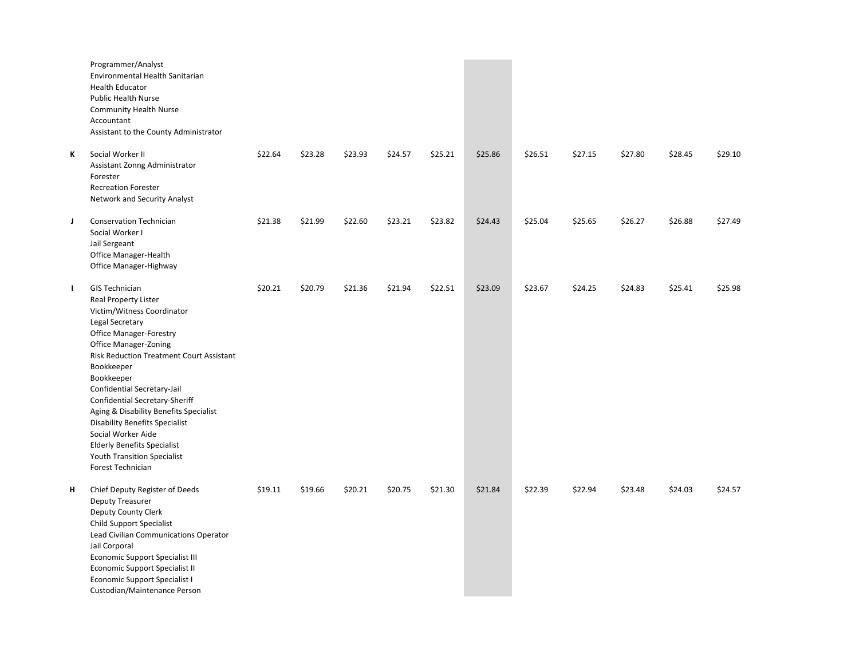|              | Programmer/Analyst<br>Environmental Health Sanitarian<br><b>Health Educator</b><br><b>Public Health Nurse</b><br><b>Community Health Nurse</b><br>Accountant<br>Assistant to the County Administrator                                                                                                                                                                                                                                                                                                               |         |         |         |         |         |         |         |         |         |         |         |
|--------------|---------------------------------------------------------------------------------------------------------------------------------------------------------------------------------------------------------------------------------------------------------------------------------------------------------------------------------------------------------------------------------------------------------------------------------------------------------------------------------------------------------------------|---------|---------|---------|---------|---------|---------|---------|---------|---------|---------|---------|
| ĸ            | Social Worker II<br>Assistant Zonng Administrator<br>Forester<br><b>Recreation Forester</b><br>Network and Security Analyst                                                                                                                                                                                                                                                                                                                                                                                         | \$22.64 | \$23.28 | \$23.93 | \$24.57 | \$25.21 | \$25.86 | \$26.51 | \$27.15 | \$27.80 | \$28.45 | \$29.10 |
| J            | <b>Conservation Technician</b><br>Social Worker I<br>Jail Sergeant<br>Office Manager-Health<br>Office Manager-Highway                                                                                                                                                                                                                                                                                                                                                                                               | \$21.38 | \$21.99 | \$22.60 | \$23.21 | \$23.82 | \$24.43 | \$25.04 | \$25.65 | \$26.27 | \$26.88 | \$27.49 |
| $\mathbf{I}$ | <b>GIS Technician</b><br><b>Real Property Lister</b><br>Victim/Witness Coordinator<br>Legal Secretary<br><b>Office Manager-Forestry</b><br><b>Office Manager-Zoning</b><br>Risk Reduction Treatment Court Assistant<br>Bookkeeper<br>Bookkeeper<br>Confidential Secretary-Jail<br>Confidential Secretary-Sheriff<br>Aging & Disability Benefits Specialist<br><b>Disability Benefits Specialist</b><br>Social Worker Aide<br><b>Elderly Benefits Specialist</b><br>Youth Transition Specialist<br>Forest Technician | \$20.21 | \$20.79 | \$21.36 | \$21.94 | \$22.51 | \$23.09 | \$23.67 | \$24.25 | \$24.83 | \$25.41 | \$25.98 |
| н            | Chief Deputy Register of Deeds<br><b>Deputy Treasurer</b><br>Deputy County Clerk<br><b>Child Support Specialist</b><br>Lead Civilian Communications Operator<br>Jail Corporal<br><b>Economic Support Specialist III</b><br><b>Economic Support Specialist II</b><br>Economic Support Specialist I<br>Custodian/Maintenance Person                                                                                                                                                                                   | \$19.11 | \$19.66 | \$20.21 | \$20.75 | \$21.30 | \$21.84 | \$22.39 | \$22.94 | \$23.48 | \$24.03 | \$24.57 |